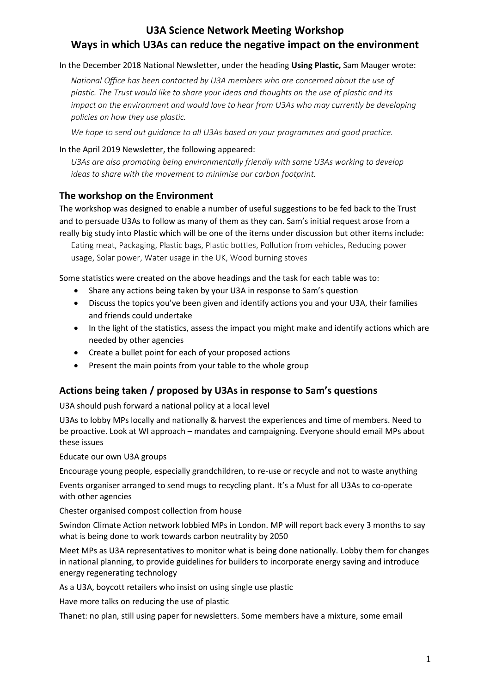# **U3A Science Network Meeting Workshop Ways in which U3As can reduce the negative impact on the environment**

#### In the December 2018 National Newsletter, under the heading **Using Plastic,** Sam Mauger wrote:

*National Office has been contacted by U3A members who are concerned about the use of plastic. The Trust would like to share your ideas and thoughts on the use of plastic and its impact on the environment and would love to hear from U3As who may currently be developing policies on how they use plastic.*

*We hope to send out guidance to all U3As based on your programmes and good practice.*

#### In the April 2019 Newsletter, the following appeared:

*U3As are also promoting being environmentally friendly with some U3As working to develop ideas to share with the movement to minimise our carbon footprint.*

## **The workshop on the Environment**

The workshop was designed to enable a number of useful suggestions to be fed back to the Trust and to persuade U3As to follow as many of them as they can. Sam's initial request arose from a really big study into Plastic which will be one of the items under discussion but other items include:

Eating meat, Packaging, Plastic bags, Plastic bottles, Pollution from vehicles, Reducing power usage, Solar power, Water usage in the UK, Wood burning stoves

Some statistics were created on the above headings and the task for each table was to:

- Share any actions being taken by your U3A in response to Sam's question
- Discuss the topics you've been given and identify actions you and your U3A, their families and friends could undertake
- In the light of the statistics, assess the impact you might make and identify actions which are needed by other agencies
- Create a bullet point for each of your proposed actions
- Present the main points from your table to the whole group

## **Actions being taken / proposed by U3As in response to Sam's questions**

U3A should push forward a national policy at a local level

U3As to lobby MPs locally and nationally & harvest the experiences and time of members. Need to be proactive. Look at WI approach – mandates and campaigning. Everyone should email MPs about these issues

Educate our own U3A groups

Encourage young people, especially grandchildren, to re-use or recycle and not to waste anything

Events organiser arranged to send mugs to recycling plant. It's a Must for all U3As to co-operate with other agencies

Chester organised compost collection from house

Swindon Climate Action network lobbied MPs in London. MP will report back every 3 months to say what is being done to work towards carbon neutrality by 2050

Meet MPs as U3A representatives to monitor what is being done nationally. Lobby them for changes in national planning, to provide guidelines for builders to incorporate energy saving and introduce energy regenerating technology

As a U3A, boycott retailers who insist on using single use plastic

Have more talks on reducing the use of plastic

Thanet: no plan, still using paper for newsletters. Some members have a mixture, some email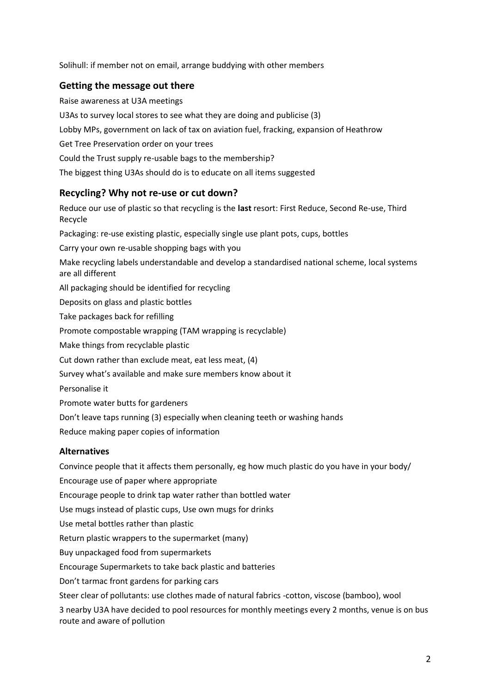Solihull: if member not on email, arrange buddying with other members

#### **Getting the message out there**

Raise awareness at U3A meetings U3As to survey local stores to see what they are doing and publicise (3) Lobby MPs, government on lack of tax on aviation fuel, fracking, expansion of Heathrow Get Tree Preservation order on your trees Could the Trust supply re-usable bags to the membership? The biggest thing U3As should do is to educate on all items suggested

## **Recycling? Why not re-use or cut down?**

Reduce our use of plastic so that recycling is the **last** resort: First Reduce, Second Re-use, Third Recycle Packaging: re-use existing plastic, especially single use plant pots, cups, bottles Carry your own re-usable shopping bags with you Make recycling labels understandable and develop a standardised national scheme, local systems are all different All packaging should be identified for recycling Deposits on glass and plastic bottles Take packages back for refilling Promote compostable wrapping (TAM wrapping is recyclable) Make things from recyclable plastic Cut down rather than exclude meat, eat less meat, (4) Survey what's available and make sure members know about it Personalise it Promote water butts for gardeners Don't leave taps running (3) especially when cleaning teeth or washing hands Reduce making paper copies of information

#### **Alternatives**

Convince people that it affects them personally, eg how much plastic do you have in your body/ Encourage use of paper where appropriate Encourage people to drink tap water rather than bottled water Use mugs instead of plastic cups, Use own mugs for drinks Use metal bottles rather than plastic Return plastic wrappers to the supermarket (many) Buy unpackaged food from supermarkets Encourage Supermarkets to take back plastic and batteries Don't tarmac front gardens for parking cars Steer clear of pollutants: use clothes made of natural fabrics -cotton, viscose (bamboo), wool 3 nearby U3A have decided to pool resources for monthly meetings every 2 months, venue is on bus route and aware of pollution